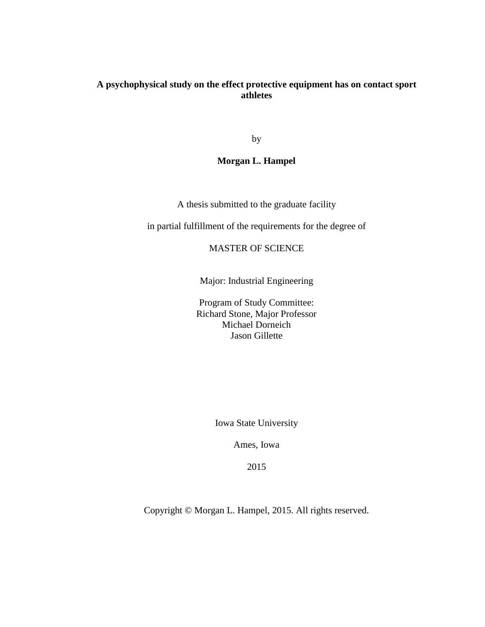### **A psychophysical study on the effect protective equipment has on contact sport athletes**

by

#### **Morgan L. Hampel**

A thesis submitted to the graduate facility

in partial fulfillment of the requirements for the degree of

MASTER OF SCIENCE

Major: Industrial Engineering

Program of Study Committee: Richard Stone, Major Professor Michael Dorneich Jason Gillette

Iowa State University

Ames, Iowa

2015

Copyright © Morgan L. Hampel, 2015. All rights reserved.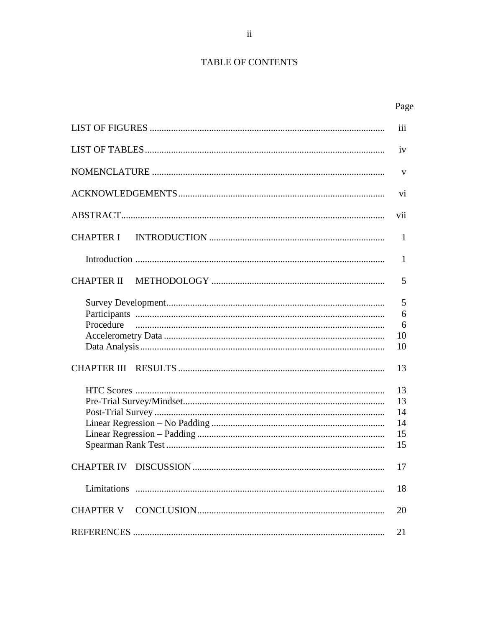# TABLE OF CONTENTS

|                  | iii                              |
|------------------|----------------------------------|
|                  | iv                               |
|                  | V                                |
|                  | vi                               |
|                  | vii                              |
| <b>CHAPTER I</b> | 1                                |
|                  | 1                                |
|                  | 5                                |
| Procedure        | 5<br>6<br>6<br>10<br>10          |
|                  | 13                               |
|                  | 13<br>13<br>14<br>14<br>15<br>15 |
|                  | 17                               |
|                  | 18                               |
|                  | 20                               |
|                  | 21                               |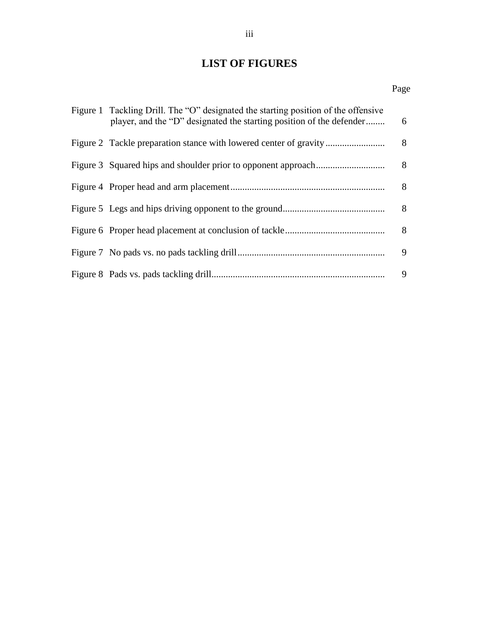# **LIST OF FIGURES**

#### Page **Page**

| Figure 1 Tackling Drill. The "O" designated the starting position of the offensive<br>player, and the "D" designated the starting position of the defender | 6 |
|------------------------------------------------------------------------------------------------------------------------------------------------------------|---|
|                                                                                                                                                            | 8 |
|                                                                                                                                                            | 8 |
|                                                                                                                                                            | 8 |
|                                                                                                                                                            | 8 |
|                                                                                                                                                            | 8 |
|                                                                                                                                                            | 9 |
|                                                                                                                                                            | 9 |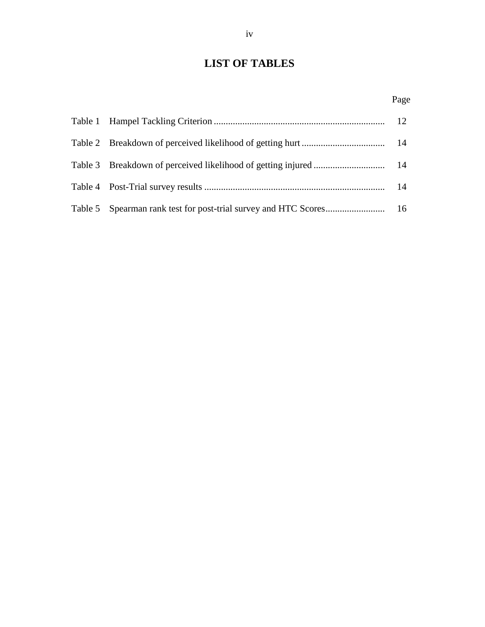# **LIST OF TABLES**

Page **Page**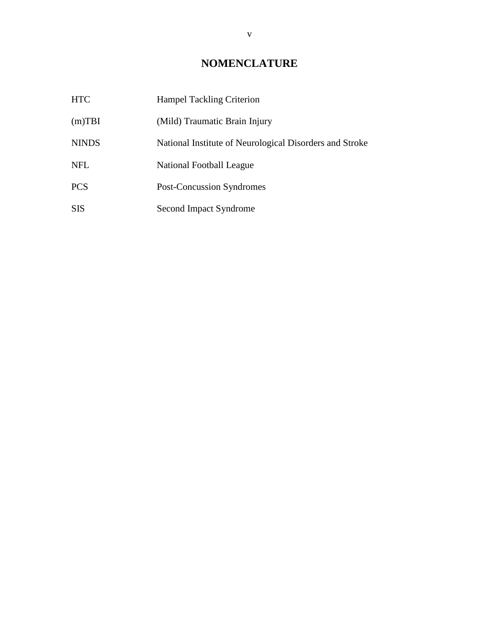# **NOMENCLATURE**

| <b>HTC</b>   | <b>Hampel Tackling Criterion</b>                        |
|--------------|---------------------------------------------------------|
| $(m)$ TBI    | (Mild) Traumatic Brain Injury                           |
| <b>NINDS</b> | National Institute of Neurological Disorders and Stroke |
| <b>NFL</b>   | National Football League                                |
| <b>PCS</b>   | <b>Post-Concussion Syndromes</b>                        |
| <b>SIS</b>   | Second Impact Syndrome                                  |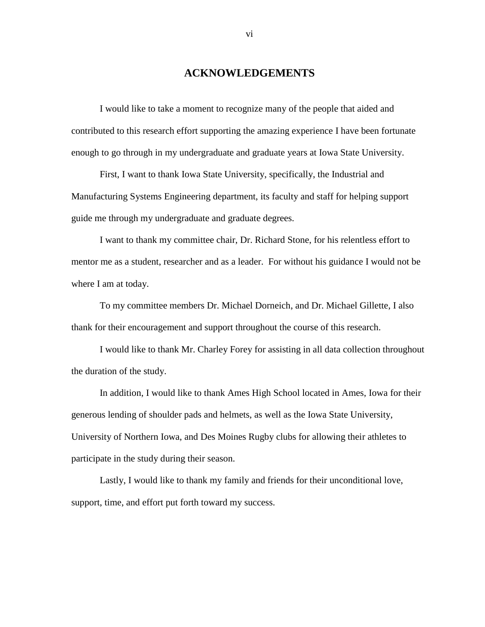#### **ACKNOWLEDGEMENTS**

I would like to take a moment to recognize many of the people that aided and contributed to this research effort supporting the amazing experience I have been fortunate enough to go through in my undergraduate and graduate years at Iowa State University.

First, I want to thank Iowa State University, specifically, the Industrial and Manufacturing Systems Engineering department, its faculty and staff for helping support guide me through my undergraduate and graduate degrees.

I want to thank my committee chair, Dr. Richard Stone, for his relentless effort to mentor me as a student, researcher and as a leader. For without his guidance I would not be where I am at today.

To my committee members Dr. Michael Dorneich, and Dr. Michael Gillette, I also thank for their encouragement and support throughout the course of this research.

I would like to thank Mr. Charley Forey for assisting in all data collection throughout the duration of the study.

In addition, I would like to thank Ames High School located in Ames, Iowa for their generous lending of shoulder pads and helmets, as well as the Iowa State University, University of Northern Iowa, and Des Moines Rugby clubs for allowing their athletes to participate in the study during their season.

Lastly, I would like to thank my family and friends for their unconditional love, support, time, and effort put forth toward my success.

vi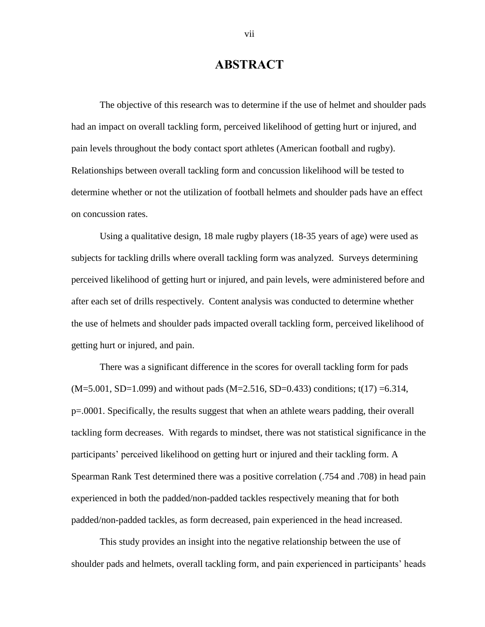## **ABSTRACT**

The objective of this research was to determine if the use of helmet and shoulder pads had an impact on overall tackling form, perceived likelihood of getting hurt or injured, and pain levels throughout the body contact sport athletes (American football and rugby). Relationships between overall tackling form and concussion likelihood will be tested to determine whether or not the utilization of football helmets and shoulder pads have an effect on concussion rates.

Using a qualitative design, 18 male rugby players (18-35 years of age) were used as subjects for tackling drills where overall tackling form was analyzed. Surveys determining perceived likelihood of getting hurt or injured, and pain levels, were administered before and after each set of drills respectively. Content analysis was conducted to determine whether the use of helmets and shoulder pads impacted overall tackling form, perceived likelihood of getting hurt or injured, and pain.

There was a significant difference in the scores for overall tackling form for pads  $(M=5.001, SD=1.099)$  and without pads  $(M=2.516, SD=0.433)$  conditions; t(17) =6.314, p=.0001. Specifically, the results suggest that when an athlete wears padding, their overall tackling form decreases. With regards to mindset, there was not statistical significance in the participants' perceived likelihood on getting hurt or injured and their tackling form. A Spearman Rank Test determined there was a positive correlation (.754 and .708) in head pain experienced in both the padded/non-padded tackles respectively meaning that for both padded/non-padded tackles, as form decreased, pain experienced in the head increased.

This study provides an insight into the negative relationship between the use of shoulder pads and helmets, overall tackling form, and pain experienced in participants' heads

vii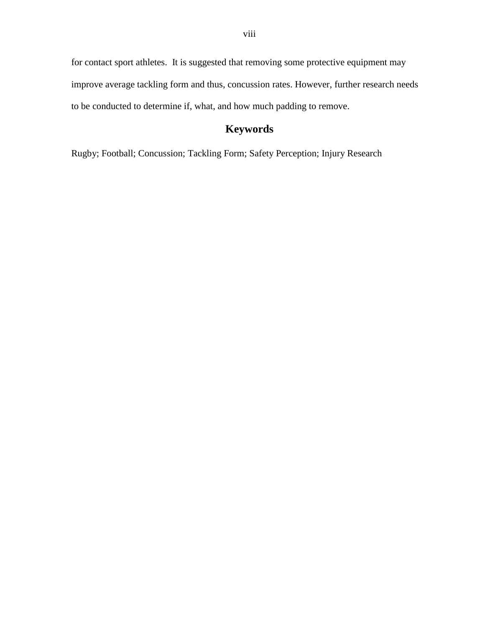for contact sport athletes. It is suggested that removing some protective equipment may improve average tackling form and thus, concussion rates. However, further research needs to be conducted to determine if, what, and how much padding to remove.

# **Keywords**

Rugby; Football; Concussion; Tackling Form; Safety Perception; Injury Research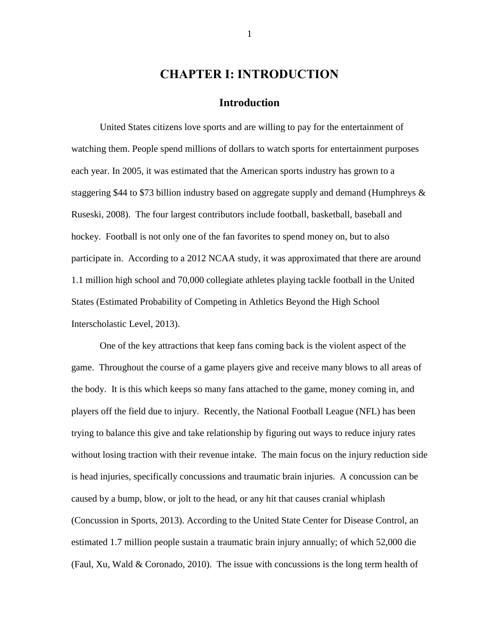### **CHAPTER I: INTRODUCTION**

#### **Introduction**

United States citizens love sports and are willing to pay for the entertainment of watching them. People spend millions of dollars to watch sports for entertainment purposes each year. In 2005, it was estimated that the American sports industry has grown to a staggering \$44 to \$73 billion industry based on aggregate supply and demand (Humphreys  $\&$ Ruseski, 2008). The four largest contributors include football, basketball, baseball and hockey. Football is not only one of the fan favorites to spend money on, but to also participate in. According to a 2012 NCAA study, it was approximated that there are around 1.1 million high school and 70,000 collegiate athletes playing tackle football in the United States (Estimated Probability of Competing in Athletics Beyond the High School Interscholastic Level, 2013).

One of the key attractions that keep fans coming back is the violent aspect of the game. Throughout the course of a game players give and receive many blows to all areas of the body. It is this which keeps so many fans attached to the game, money coming in, and players off the field due to injury. Recently, the National Football League (NFL) has been trying to balance this give and take relationship by figuring out ways to reduce injury rates without losing traction with their revenue intake. The main focus on the injury reduction side is head injuries, specifically concussions and traumatic brain injuries. A concussion can be caused by a bump, blow, or jolt to the head, or any hit that causes cranial whiplash (Concussion in Sports, 2013). According to the United State Center for Disease Control, an estimated 1.7 million people sustain a traumatic brain injury annually; of which 52,000 die (Faul, Xu, Wald  $&$  Coronado, 2010). The issue with concussions is the long term health of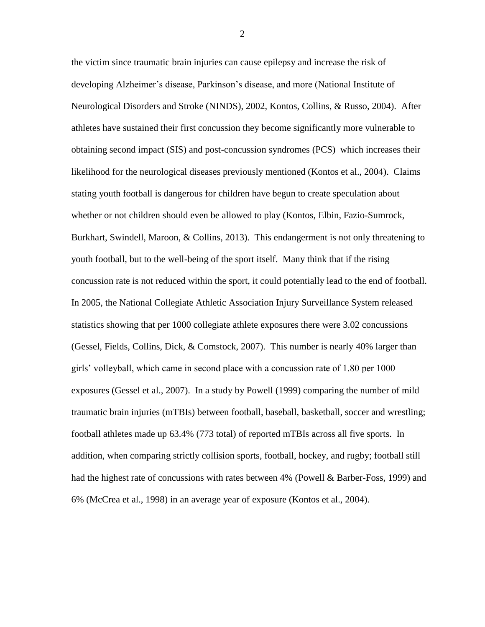the victim since traumatic brain injuries can cause epilepsy and increase the risk of developing Alzheimer's disease, Parkinson's disease, and more (National Institute of Neurological Disorders and Stroke (NINDS), 2002, Kontos, Collins, & Russo, 2004). After athletes have sustained their first concussion they become significantly more vulnerable to obtaining second impact (SIS) and post-concussion syndromes (PCS) which increases their likelihood for the neurological diseases previously mentioned (Kontos et al., 2004). Claims stating youth football is dangerous for children have begun to create speculation about whether or not children should even be allowed to play (Kontos, Elbin, Fazio-Sumrock, Burkhart, Swindell, Maroon, & Collins, 2013). This endangerment is not only threatening to youth football, but to the well-being of the sport itself. Many think that if the rising concussion rate is not reduced within the sport, it could potentially lead to the end of football. In 2005, the National Collegiate Athletic Association Injury Surveillance System released statistics showing that per 1000 collegiate athlete exposures there were 3.02 concussions (Gessel, Fields, Collins, Dick, & Comstock, 2007). This number is nearly 40% larger than girls' volleyball, which came in second place with a concussion rate of 1.80 per 1000 exposures (Gessel et al., 2007). In a study by Powell (1999) comparing the number of mild traumatic brain injuries (mTBIs) between football, baseball, basketball, soccer and wrestling; football athletes made up 63.4% (773 total) of reported mTBIs across all five sports. In addition, when comparing strictly collision sports, football, hockey, and rugby; football still had the highest rate of concussions with rates between 4% (Powell & Barber-Foss, 1999) and 6% (McCrea et al., 1998) in an average year of exposure (Kontos et al., 2004).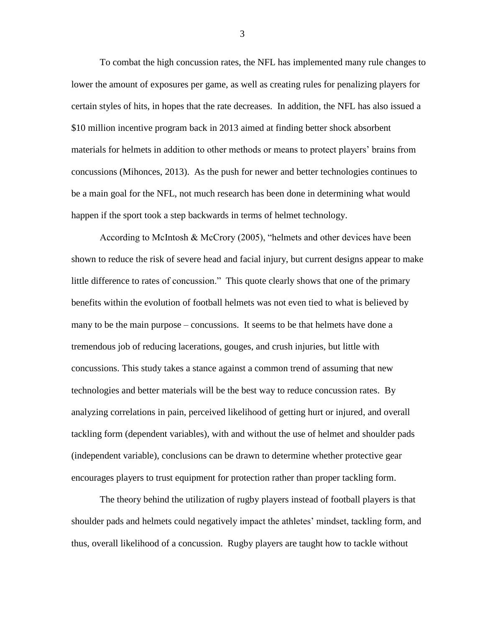To combat the high concussion rates, the NFL has implemented many rule changes to lower the amount of exposures per game, as well as creating rules for penalizing players for certain styles of hits, in hopes that the rate decreases. In addition, the NFL has also issued a \$10 million incentive program back in 2013 aimed at finding better shock absorbent materials for helmets in addition to other methods or means to protect players' brains from concussions (Mihonces, 2013). As the push for newer and better technologies continues to be a main goal for the NFL, not much research has been done in determining what would happen if the sport took a step backwards in terms of helmet technology.

According to McIntosh & McCrory (2005), "helmets and other devices have been shown to reduce the risk of severe head and facial injury, but current designs appear to make little difference to rates of concussion." This quote clearly shows that one of the primary benefits within the evolution of football helmets was not even tied to what is believed by many to be the main purpose – concussions. It seems to be that helmets have done a tremendous job of reducing lacerations, gouges, and crush injuries, but little with concussions. This study takes a stance against a common trend of assuming that new technologies and better materials will be the best way to reduce concussion rates. By analyzing correlations in pain, perceived likelihood of getting hurt or injured, and overall tackling form (dependent variables), with and without the use of helmet and shoulder pads (independent variable), conclusions can be drawn to determine whether protective gear encourages players to trust equipment for protection rather than proper tackling form.

The theory behind the utilization of rugby players instead of football players is that shoulder pads and helmets could negatively impact the athletes' mindset, tackling form, and thus, overall likelihood of a concussion. Rugby players are taught how to tackle without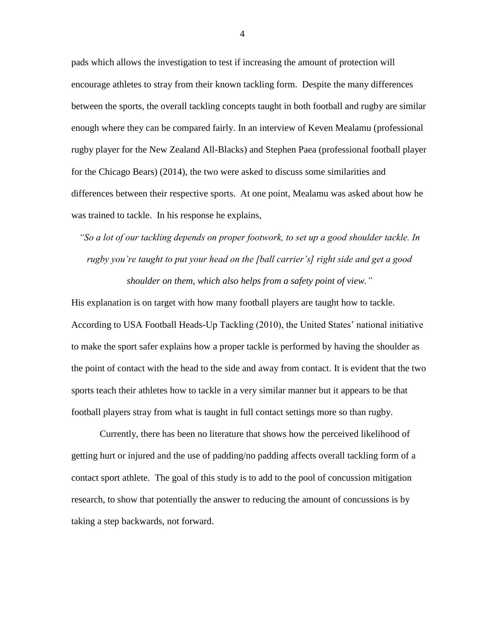pads which allows the investigation to test if increasing the amount of protection will encourage athletes to stray from their known tackling form. Despite the many differences between the sports, the overall tackling concepts taught in both football and rugby are similar enough where they can be compared fairly. In an interview of Keven Mealamu (professional rugby player for the New Zealand All-Blacks) and Stephen Paea (professional football player for the Chicago Bears) (2014), the two were asked to discuss some similarities and differences between their respective sports. At one point, Mealamu was asked about how he was trained to tackle. In his response he explains,

*"So a lot of our tackling depends on proper footwork, to set up a good shoulder tackle. In rugby you're taught to put your head on the [ball carrier's] right side and get a good shoulder on them, which also helps from a safety point of view."*

His explanation is on target with how many football players are taught how to tackle. According to USA Football Heads-Up Tackling (2010), the United States' national initiative to make the sport safer explains how a proper tackle is performed by having the shoulder as the point of contact with the head to the side and away from contact. It is evident that the two sports teach their athletes how to tackle in a very similar manner but it appears to be that football players stray from what is taught in full contact settings more so than rugby.

Currently, there has been no literature that shows how the perceived likelihood of getting hurt or injured and the use of padding/no padding affects overall tackling form of a contact sport athlete. The goal of this study is to add to the pool of concussion mitigation research, to show that potentially the answer to reducing the amount of concussions is by taking a step backwards, not forward.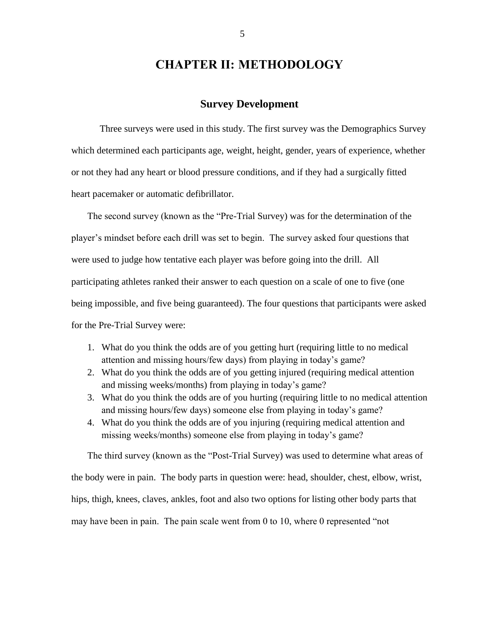# **CHAPTER II: METHODOLOGY**

#### **Survey Development**

Three surveys were used in this study. The first survey was the Demographics Survey which determined each participants age, weight, height, gender, years of experience, whether or not they had any heart or blood pressure conditions, and if they had a surgically fitted heart pacemaker or automatic defibrillator.

The second survey (known as the "Pre-Trial Survey) was for the determination of the player's mindset before each drill was set to begin. The survey asked four questions that were used to judge how tentative each player was before going into the drill. All participating athletes ranked their answer to each question on a scale of one to five (one being impossible, and five being guaranteed). The four questions that participants were asked for the Pre-Trial Survey were:

- 1. What do you think the odds are of you getting hurt (requiring little to no medical attention and missing hours/few days) from playing in today's game?
- 2. What do you think the odds are of you getting injured (requiring medical attention and missing weeks/months) from playing in today's game?
- 3. What do you think the odds are of you hurting (requiring little to no medical attention and missing hours/few days) someone else from playing in today's game?
- 4. What do you think the odds are of you injuring (requiring medical attention and missing weeks/months) someone else from playing in today's game?

The third survey (known as the "Post-Trial Survey) was used to determine what areas of the body were in pain. The body parts in question were: head, shoulder, chest, elbow, wrist, hips, thigh, knees, claves, ankles, foot and also two options for listing other body parts that may have been in pain. The pain scale went from 0 to 10, where 0 represented "not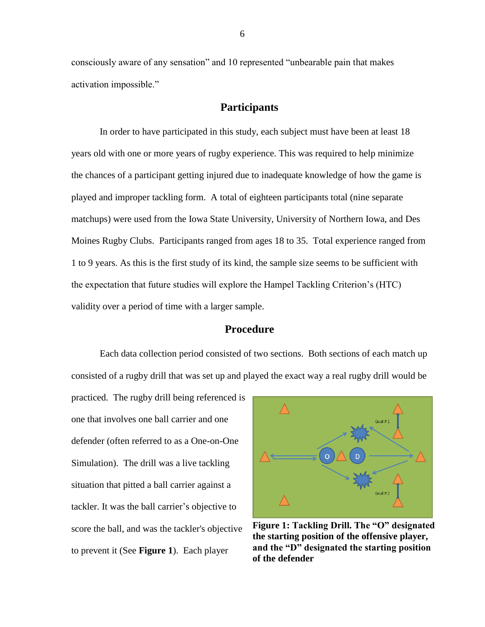consciously aware of any sensation" and 10 represented "unbearable pain that makes activation impossible."

#### **Participants**

In order to have participated in this study, each subject must have been at least 18 years old with one or more years of rugby experience. This was required to help minimize the chances of a participant getting injured due to inadequate knowledge of how the game is played and improper tackling form. A total of eighteen participants total (nine separate matchups) were used from the Iowa State University, University of Northern Iowa, and Des Moines Rugby Clubs. Participants ranged from ages 18 to 35. Total experience ranged from 1 to 9 years. As this is the first study of its kind, the sample size seems to be sufficient with the expectation that future studies will explore the Hampel Tackling Criterion's (HTC) validity over a period of time with a larger sample.

#### **Procedure**

Each data collection period consisted of two sections. Both sections of each match up consisted of a rugby drill that was set up and played the exact way a real rugby drill would be

practiced. The rugby drill being referenced is one that involves one ball carrier and one defender (often referred to as a One-on-One Simulation). The drill was a live tackling situation that pitted a ball carrier against a tackler. It was the ball carrier's objective to score the ball, and was the tackler's objective to prevent it (See **Figure 1**). Each player



**Figure 1: Tackling Drill. The "O" designated the starting position of the offensive player, and the "D" designated the starting position of the defender**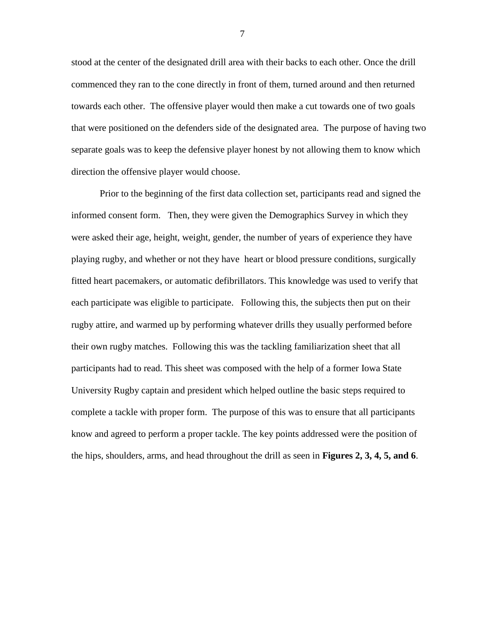stood at the center of the designated drill area with their backs to each other. Once the drill commenced they ran to the cone directly in front of them, turned around and then returned towards each other. The offensive player would then make a cut towards one of two goals that were positioned on the defenders side of the designated area. The purpose of having two separate goals was to keep the defensive player honest by not allowing them to know which direction the offensive player would choose.

Prior to the beginning of the first data collection set, participants read and signed the informed consent form. Then, they were given the Demographics Survey in which they were asked their age, height, weight, gender, the number of years of experience they have playing rugby, and whether or not they have heart or blood pressure conditions, surgically fitted heart pacemakers, or automatic defibrillators. This knowledge was used to verify that each participate was eligible to participate. Following this, the subjects then put on their rugby attire, and warmed up by performing whatever drills they usually performed before their own rugby matches. Following this was the tackling familiarization sheet that all participants had to read. This sheet was composed with the help of a former Iowa State University Rugby captain and president which helped outline the basic steps required to complete a tackle with proper form. The purpose of this was to ensure that all participants know and agreed to perform a proper tackle. The key points addressed were the position of the hips, shoulders, arms, and head throughout the drill as seen in **Figures 2, 3, 4, 5, and 6**.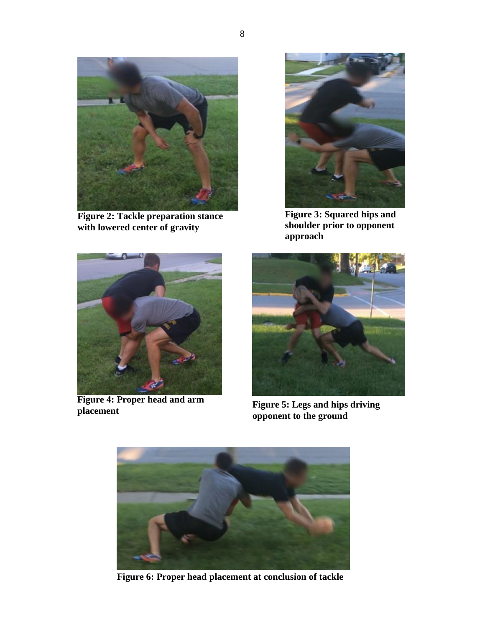

**Figure 2: Tackle preparation stance with lowered center of gravity**



**Figure 3: Squared hips and shoulder prior to opponent approach**



**Figure 4: Proper head and arm** 



**Figure 5: Legs and hips driving opponent to the ground**



**Figure 6: Proper head placement at conclusion of tackle**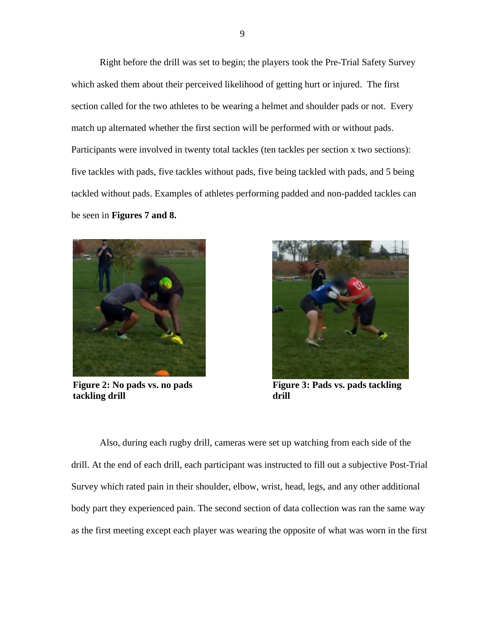Right before the drill was set to begin; the players took the Pre-Trial Safety Survey which asked them about their perceived likelihood of getting hurt or injured. The first section called for the two athletes to be wearing a helmet and shoulder pads or not. Every match up alternated whether the first section will be performed with or without pads. Participants were involved in twenty total tackles (ten tackles per section x two sections): five tackles with pads, five tackles without pads, five being tackled with pads, and 5 being tackled without pads. Examples of athletes performing padded and non-padded tackles can be seen in **Figures 7 and 8.**



**Figure 2: No pads vs. no pads tackling drill**



**Figure 3: Pads vs. pads tackling drill**

Also, during each rugby drill, cameras were set up watching from each side of the drill. At the end of each drill, each participant was instructed to fill out a subjective Post-Trial Survey which rated pain in their shoulder, elbow, wrist, head, legs, and any other additional body part they experienced pain. The second section of data collection was ran the same way as the first meeting except each player was wearing the opposite of what was worn in the first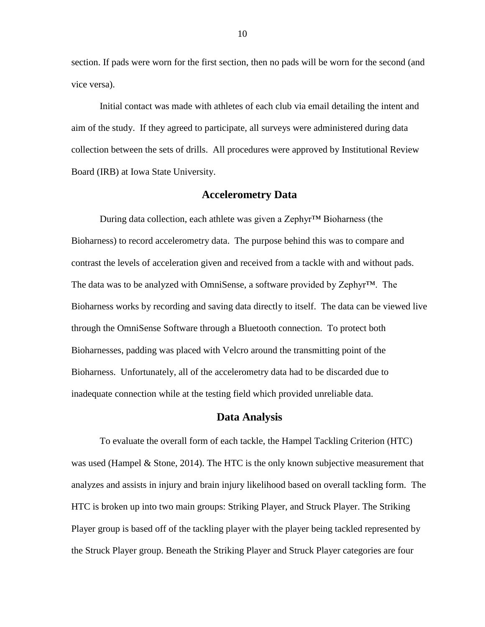section. If pads were worn for the first section, then no pads will be worn for the second (and vice versa).

Initial contact was made with athletes of each club via email detailing the intent and aim of the study. If they agreed to participate, all surveys were administered during data collection between the sets of drills. All procedures were approved by Institutional Review Board (IRB) at Iowa State University.

#### **Accelerometry Data**

During data collection, each athlete was given a Zephyr™ Bioharness (the Bioharness) to record accelerometry data. The purpose behind this was to compare and contrast the levels of acceleration given and received from a tackle with and without pads. The data was to be analyzed with OmniSense, a software provided by Zephyr™. The Bioharness works by recording and saving data directly to itself. The data can be viewed live through the OmniSense Software through a Bluetooth connection. To protect both Bioharnesses, padding was placed with Velcro around the transmitting point of the Bioharness. Unfortunately, all of the accelerometry data had to be discarded due to inadequate connection while at the testing field which provided unreliable data.

#### **Data Analysis**

To evaluate the overall form of each tackle, the Hampel Tackling Criterion (HTC) was used (Hampel & Stone, 2014). The HTC is the only known subjective measurement that analyzes and assists in injury and brain injury likelihood based on overall tackling form. The HTC is broken up into two main groups: Striking Player, and Struck Player. The Striking Player group is based off of the tackling player with the player being tackled represented by the Struck Player group. Beneath the Striking Player and Struck Player categories are four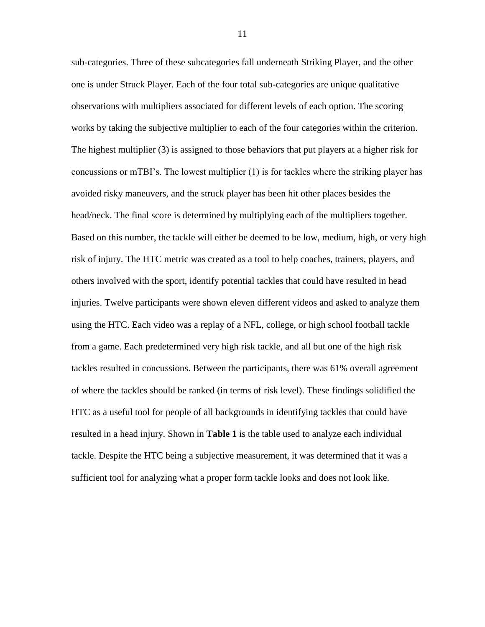sub-categories. Three of these subcategories fall underneath Striking Player, and the other one is under Struck Player. Each of the four total sub-categories are unique qualitative observations with multipliers associated for different levels of each option. The scoring works by taking the subjective multiplier to each of the four categories within the criterion. The highest multiplier (3) is assigned to those behaviors that put players at a higher risk for concussions or mTBI's. The lowest multiplier (1) is for tackles where the striking player has avoided risky maneuvers, and the struck player has been hit other places besides the head/neck. The final score is determined by multiplying each of the multipliers together. Based on this number, the tackle will either be deemed to be low, medium, high, or very high risk of injury. The HTC metric was created as a tool to help coaches, trainers, players, and others involved with the sport, identify potential tackles that could have resulted in head injuries. Twelve participants were shown eleven different videos and asked to analyze them using the HTC. Each video was a replay of a NFL, college, or high school football tackle from a game. Each predetermined very high risk tackle, and all but one of the high risk tackles resulted in concussions. Between the participants, there was 61% overall agreement of where the tackles should be ranked (in terms of risk level). These findings solidified the HTC as a useful tool for people of all backgrounds in identifying tackles that could have resulted in a head injury. Shown in **Table 1** is the table used to analyze each individual tackle. Despite the HTC being a subjective measurement, it was determined that it was a sufficient tool for analyzing what a proper form tackle looks and does not look like.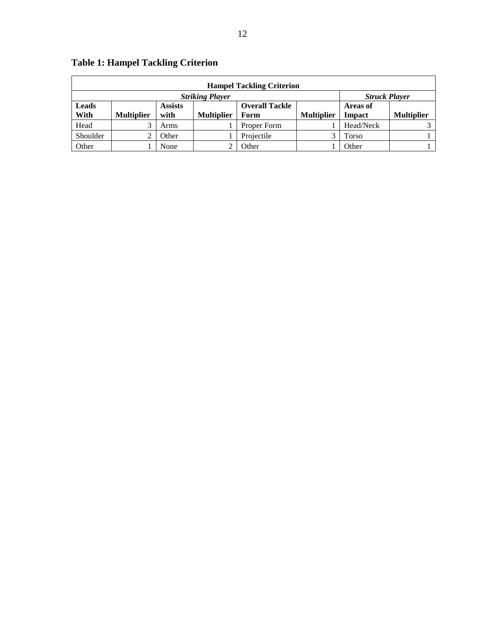| <b>Hampel Tackling Criterion</b>               |                   |                |                   |                       |                   |                 |                   |
|------------------------------------------------|-------------------|----------------|-------------------|-----------------------|-------------------|-----------------|-------------------|
| <b>Striking Player</b><br><b>Struck Player</b> |                   |                |                   |                       |                   |                 |                   |
| Leads                                          |                   | <b>Assists</b> |                   | <b>Overall Tackle</b> |                   | <b>Areas of</b> |                   |
| With                                           | <b>Multiplier</b> | with           | <b>Multiplier</b> | Form                  | <b>Multiplier</b> | Impact          | <b>Multiplier</b> |
| Head                                           |                   | Arms           |                   | Proper Form           |                   | Head/Neck       |                   |
| Shoulder                                       |                   | <b>Other</b>   |                   | Projectile            |                   | Torso           |                   |
| Other                                          |                   | None           |                   | Other                 |                   | Other           |                   |

# **Table 1: Hampel Tackling Criterion**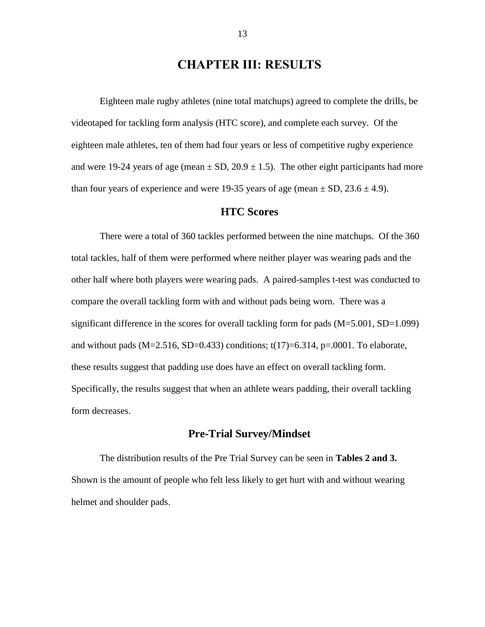## **CHAPTER III: RESULTS**

Eighteen male rugby athletes (nine total matchups) agreed to complete the drills, be videotaped for tackling form analysis (HTC score), and complete each survey. Of the eighteen male athletes, ten of them had four years or less of competitive rugby experience and were 19-24 years of age (mean  $\pm$  SD, 20.9  $\pm$  1.5). The other eight participants had more than four years of experience and were 19-35 years of age (mean  $\pm$  SD, 23.6  $\pm$  4.9).

#### **HTC Scores**

There were a total of 360 tackles performed between the nine matchups. Of the 360 total tackles, half of them were performed where neither player was wearing pads and the other half where both players were wearing pads. A paired-samples t-test was conducted to compare the overall tackling form with and without pads being worn. There was a significant difference in the scores for overall tackling form for pads  $(M=5.001, SD=1.099)$ and without pads (M=2.516, SD=0.433) conditions;  $t(17)=6.314$ , p=.0001. To elaborate, these results suggest that padding use does have an effect on overall tackling form. Specifically, the results suggest that when an athlete wears padding, their overall tackling form decreases.

#### **Pre-Trial Survey/Mindset**

The distribution results of the Pre Trial Survey can be seen in **Tables 2 and 3.**  Shown is the amount of people who felt less likely to get hurt with and without wearing helmet and shoulder pads.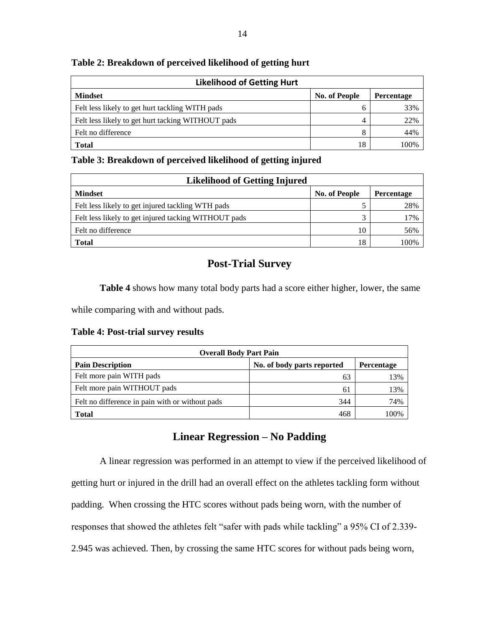| <b>Likelihood of Getting Hurt</b>                 |                      |            |
|---------------------------------------------------|----------------------|------------|
| <b>Mindset</b>                                    | <b>No. of People</b> | Percentage |
| Felt less likely to get hurt tackling WITH pads   | h                    | 33%        |
| Felt less likely to get hurt tacking WITHOUT pads | 4                    | 22%        |
| Felt no difference                                | 8                    | 44%        |
| <b>Total</b>                                      | 18                   | 100%       |

#### **Table 2: Breakdown of perceived likelihood of getting hurt**

#### **Table 3: Breakdown of perceived likelihood of getting injured**

| <b>Likelihood of Getting Injured</b>                 |                      |            |
|------------------------------------------------------|----------------------|------------|
| <b>Mindset</b>                                       | <b>No. of People</b> | Percentage |
| Felt less likely to get injured tackling WTH pads    |                      | 28%        |
| Felt less likely to get injured tacking WITHOUT pads | 3                    | 17%        |
| Felt no difference                                   | 10                   | 56%        |
| <b>Total</b>                                         | 18                   | 100%       |

### **Post-Trial Survey**

**Table 4** shows how many total body parts had a score either higher, lower, the same

while comparing with and without pads.

| Table 4: Post-trial survey results |  |  |  |  |  |
|------------------------------------|--|--|--|--|--|
|------------------------------------|--|--|--|--|--|

| <b>Overall Body Part Pain</b>                   |                            |                   |  |
|-------------------------------------------------|----------------------------|-------------------|--|
| <b>Pain Description</b>                         | No. of body parts reported | <b>Percentage</b> |  |
| Felt more pain WITH pads                        | 63                         | 13%               |  |
| Felt more pain WITHOUT pads                     | 6                          | 13%               |  |
| Felt no difference in pain with or without pads | 344                        | 74%               |  |
| Total                                           | 468                        | 100%              |  |

### **Linear Regression – No Padding**

A linear regression was performed in an attempt to view if the perceived likelihood of getting hurt or injured in the drill had an overall effect on the athletes tackling form without padding. When crossing the HTC scores without pads being worn, with the number of responses that showed the athletes felt "safer with pads while tackling" a 95% CI of 2.339- 2.945 was achieved. Then, by crossing the same HTC scores for without pads being worn,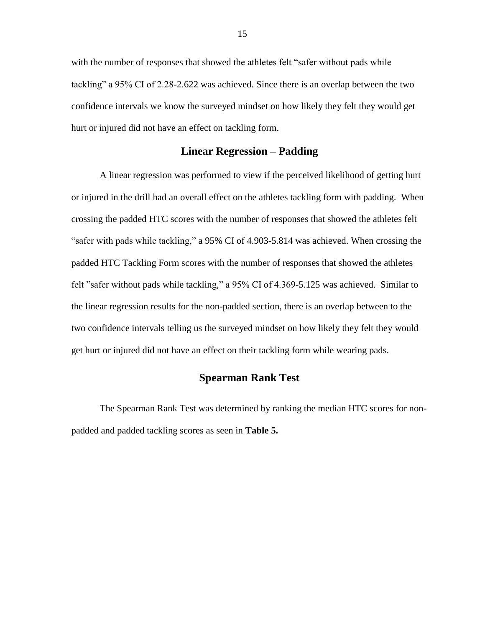with the number of responses that showed the athletes felt "safer without pads while tackling" a 95% CI of 2.28-2.622 was achieved. Since there is an overlap between the two confidence intervals we know the surveyed mindset on how likely they felt they would get hurt or injured did not have an effect on tackling form.

#### **Linear Regression – Padding**

A linear regression was performed to view if the perceived likelihood of getting hurt or injured in the drill had an overall effect on the athletes tackling form with padding. When crossing the padded HTC scores with the number of responses that showed the athletes felt "safer with pads while tackling," a 95% CI of 4.903-5.814 was achieved. When crossing the padded HTC Tackling Form scores with the number of responses that showed the athletes felt "safer without pads while tackling," a 95% CI of 4.369-5.125 was achieved. Similar to the linear regression results for the non-padded section, there is an overlap between to the two confidence intervals telling us the surveyed mindset on how likely they felt they would get hurt or injured did not have an effect on their tackling form while wearing pads.

### **Spearman Rank Test**

The Spearman Rank Test was determined by ranking the median HTC scores for nonpadded and padded tackling scores as seen in **Table 5.**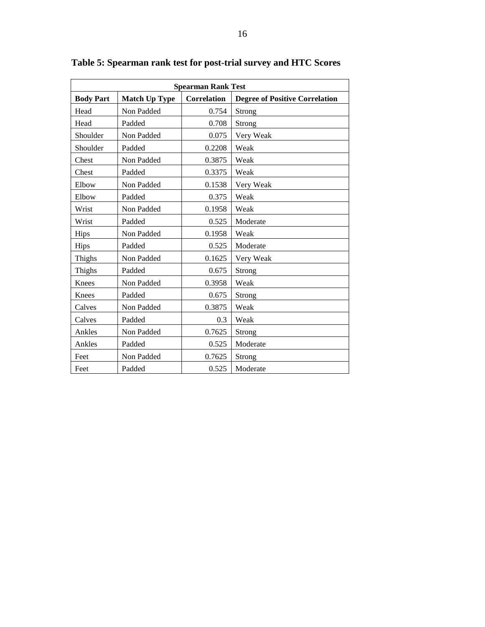| <b>Spearman Rank Test</b> |                      |                    |                                       |  |  |
|---------------------------|----------------------|--------------------|---------------------------------------|--|--|
| <b>Body Part</b>          | <b>Match Up Type</b> | <b>Correlation</b> | <b>Degree of Positive Correlation</b> |  |  |
| Head                      | Non Padded           | 0.754              | Strong                                |  |  |
| Head                      | Padded               | 0.708              | Strong                                |  |  |
| Shoulder                  | Non Padded           | 0.075              | Very Weak                             |  |  |
| Shoulder                  | Padded               | 0.2208             | Weak                                  |  |  |
| Chest                     | Non Padded           | 0.3875             | Weak                                  |  |  |
| Chest                     | Padded               | 0.3375             | Weak                                  |  |  |
| Elbow                     | Non Padded           | 0.1538             | Very Weak                             |  |  |
| Elbow                     | Padded               | 0.375              | Weak                                  |  |  |
| Wrist                     | Non Padded           | 0.1958             | Weak                                  |  |  |
| Wrist                     | Padded               | 0.525              | Moderate                              |  |  |
| Hips                      | Non Padded           | 0.1958             | Weak                                  |  |  |
| Hips                      | Padded               | 0.525              | Moderate                              |  |  |
| Thighs                    | Non Padded           | 0.1625             | Very Weak                             |  |  |
| Thighs                    | Padded               | 0.675              | Strong                                |  |  |
| Knees                     | Non Padded           | 0.3958             | Weak                                  |  |  |
| Knees                     | Padded               | 0.675              | Strong                                |  |  |
| Calves                    | Non Padded           | 0.3875             | Weak                                  |  |  |
| Calves                    | Padded               | 0.3                | Weak                                  |  |  |
| Ankles                    | Non Padded           | 0.7625             | Strong                                |  |  |
| Ankles                    | Padded               | 0.525              | Moderate                              |  |  |
| Feet                      | Non Padded           | 0.7625             | Strong                                |  |  |
| Feet                      | Padded               | 0.525              | Moderate                              |  |  |

**Table 5: Spearman rank test for post-trial survey and HTC Scores**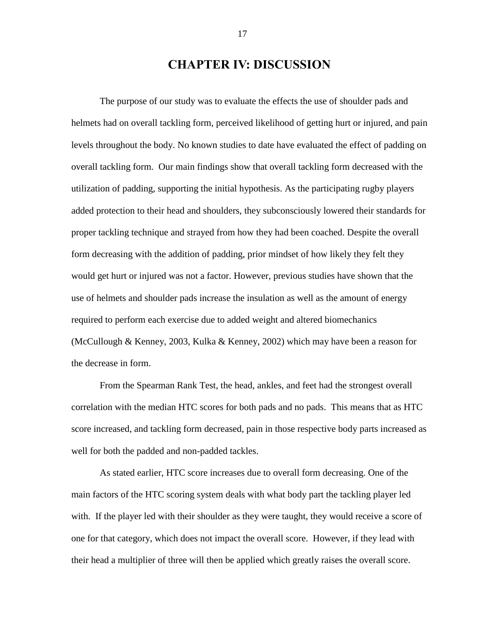## **CHAPTER IV: DISCUSSION**

The purpose of our study was to evaluate the effects the use of shoulder pads and helmets had on overall tackling form, perceived likelihood of getting hurt or injured, and pain levels throughout the body. No known studies to date have evaluated the effect of padding on overall tackling form. Our main findings show that overall tackling form decreased with the utilization of padding, supporting the initial hypothesis. As the participating rugby players added protection to their head and shoulders, they subconsciously lowered their standards for proper tackling technique and strayed from how they had been coached. Despite the overall form decreasing with the addition of padding, prior mindset of how likely they felt they would get hurt or injured was not a factor. However, previous studies have shown that the use of helmets and shoulder pads increase the insulation as well as the amount of energy required to perform each exercise due to added weight and altered biomechanics (McCullough & Kenney, 2003, Kulka & Kenney, 2002) which may have been a reason for the decrease in form.

From the Spearman Rank Test, the head, ankles, and feet had the strongest overall correlation with the median HTC scores for both pads and no pads. This means that as HTC score increased, and tackling form decreased, pain in those respective body parts increased as well for both the padded and non-padded tackles.

As stated earlier, HTC score increases due to overall form decreasing. One of the main factors of the HTC scoring system deals with what body part the tackling player led with. If the player led with their shoulder as they were taught, they would receive a score of one for that category, which does not impact the overall score. However, if they lead with their head a multiplier of three will then be applied which greatly raises the overall score.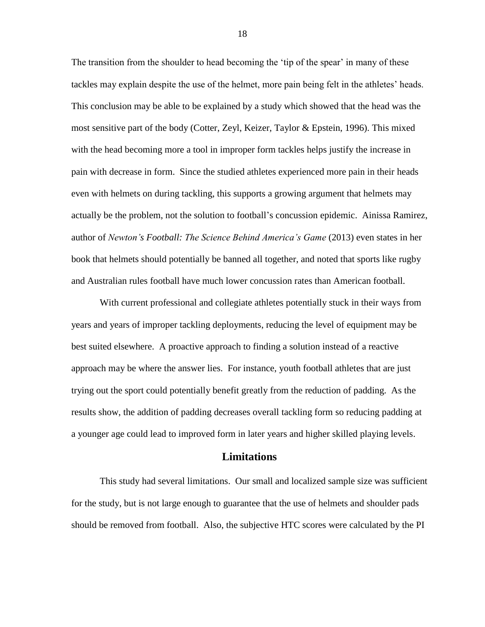The transition from the shoulder to head becoming the 'tip of the spear' in many of these tackles may explain despite the use of the helmet, more pain being felt in the athletes' heads. This conclusion may be able to be explained by a study which showed that the head was the most sensitive part of the body (Cotter, Zeyl, Keizer, Taylor & Epstein, 1996). This mixed with the head becoming more a tool in improper form tackles helps justify the increase in pain with decrease in form. Since the studied athletes experienced more pain in their heads even with helmets on during tackling, this supports a growing argument that helmets may actually be the problem, not the solution to football's concussion epidemic. Ainissa Ramirez, author of *Newton's Football: The Science Behind America's Game* (2013) even states in her book that helmets should potentially be banned all together, and noted that sports like rugby and Australian rules football have much lower concussion rates than American football.

With current professional and collegiate athletes potentially stuck in their ways from years and years of improper tackling deployments, reducing the level of equipment may be best suited elsewhere. A proactive approach to finding a solution instead of a reactive approach may be where the answer lies. For instance, youth football athletes that are just trying out the sport could potentially benefit greatly from the reduction of padding. As the results show, the addition of padding decreases overall tackling form so reducing padding at a younger age could lead to improved form in later years and higher skilled playing levels.

#### **Limitations**

This study had several limitations. Our small and localized sample size was sufficient for the study, but is not large enough to guarantee that the use of helmets and shoulder pads should be removed from football. Also, the subjective HTC scores were calculated by the PI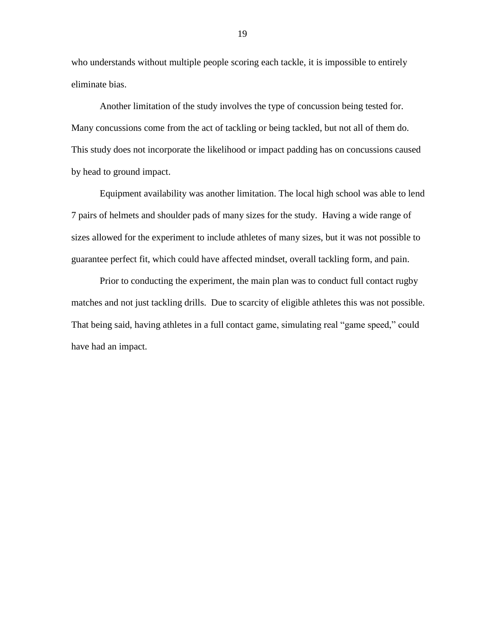who understands without multiple people scoring each tackle, it is impossible to entirely eliminate bias.

Another limitation of the study involves the type of concussion being tested for. Many concussions come from the act of tackling or being tackled, but not all of them do. This study does not incorporate the likelihood or impact padding has on concussions caused by head to ground impact.

Equipment availability was another limitation. The local high school was able to lend 7 pairs of helmets and shoulder pads of many sizes for the study. Having a wide range of sizes allowed for the experiment to include athletes of many sizes, but it was not possible to guarantee perfect fit, which could have affected mindset, overall tackling form, and pain.

Prior to conducting the experiment, the main plan was to conduct full contact rugby matches and not just tackling drills. Due to scarcity of eligible athletes this was not possible. That being said, having athletes in a full contact game, simulating real "game speed," could have had an impact.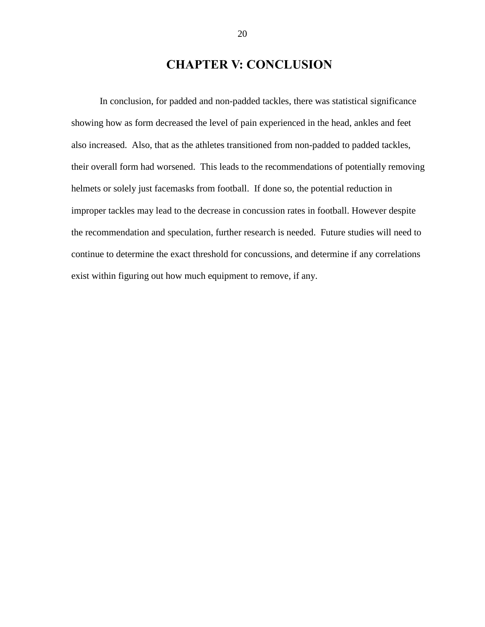# **CHAPTER V: CONCLUSION**

In conclusion, for padded and non-padded tackles, there was statistical significance showing how as form decreased the level of pain experienced in the head, ankles and feet also increased. Also, that as the athletes transitioned from non-padded to padded tackles, their overall form had worsened. This leads to the recommendations of potentially removing helmets or solely just facemasks from football. If done so, the potential reduction in improper tackles may lead to the decrease in concussion rates in football. However despite the recommendation and speculation, further research is needed. Future studies will need to continue to determine the exact threshold for concussions, and determine if any correlations exist within figuring out how much equipment to remove, if any.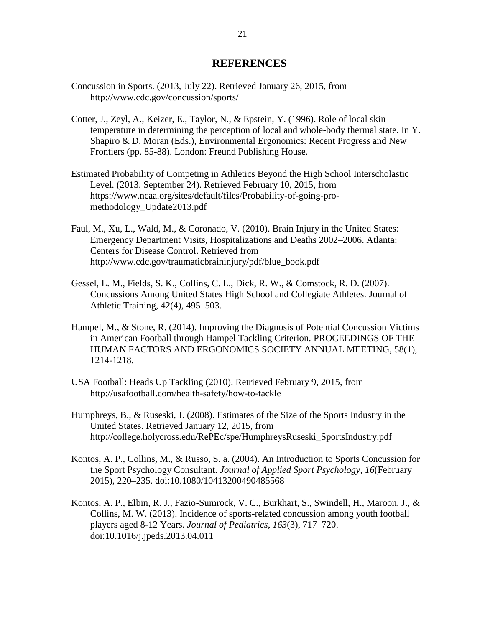#### **REFERENCES**

- Concussion in Sports. (2013, July 22). Retrieved January 26, 2015, from <http://www.cdc.gov/concussion/sports/>
- Cotter, J., Zeyl, A., Keizer, E., Taylor, N., & Epstein, Y. (1996). Role of local skin temperature in determining the perception of local and whole-body thermal state. In Y. Shapiro & D. Moran (Eds.), Environmental Ergonomics: Recent Progress and New Frontiers (pp. 85-88). London: Freund Publishing House.
- Estimated Probability of Competing in Athletics Beyond the High School Interscholastic Level. (2013, September 24). Retrieved February 10, 2015, from https://www.ncaa.org/sites/default/files/Probability-of-going-promethodology\_Update2013.pdf
- Faul, M., Xu, L., Wald, M., & Coronado, V. (2010). Brain Injury in the United States: Emergency Department Visits, Hospitalizations and Deaths 2002–2006. Atlanta: Centers for Disease Control. Retrieved from http://www.cdc.gov/traumaticbraininjury/pdf/blue\_book.pdf
- Gessel, L. M., Fields, S. K., Collins, C. L., Dick, R. W., & Comstock, R. D. (2007). Concussions Among United States High School and Collegiate Athletes. Journal of Athletic Training, 42(4), 495–503.
- Hampel, M., & Stone, R. (2014). Improving the Diagnosis of Potential Concussion Victims in American Football through Hampel Tackling Criterion. PROCEEDINGS OF THE HUMAN FACTORS AND ERGONOMICS SOCIETY ANNUAL MEETING, 58(1), 1214-1218.
- USA Football: Heads Up Tackling (2010). Retrieved February 9, 2015, from http://usafootball.com/health-safety/how-to-tackle
- Humphreys, B., & Ruseski, J. (2008). Estimates of the Size of the Sports Industry in the United States. Retrieved January 12, 2015, from http://college.holycross.edu/RePEc/spe/HumphreysRuseski\_SportsIndustry.pdf
- Kontos, A. P., Collins, M., & Russo, S. a. (2004). An Introduction to Sports Concussion for the Sport Psychology Consultant. *Journal of Applied Sport Psychology*, *16*(February 2015), 220–235. doi:10.1080/10413200490485568
- Kontos, A. P., Elbin, R. J., Fazio-Sumrock, V. C., Burkhart, S., Swindell, H., Maroon, J., & Collins, M. W. (2013). Incidence of sports-related concussion among youth football players aged 8-12 Years. *Journal of Pediatrics*, *163*(3), 717–720. doi:10.1016/j.jpeds.2013.04.011